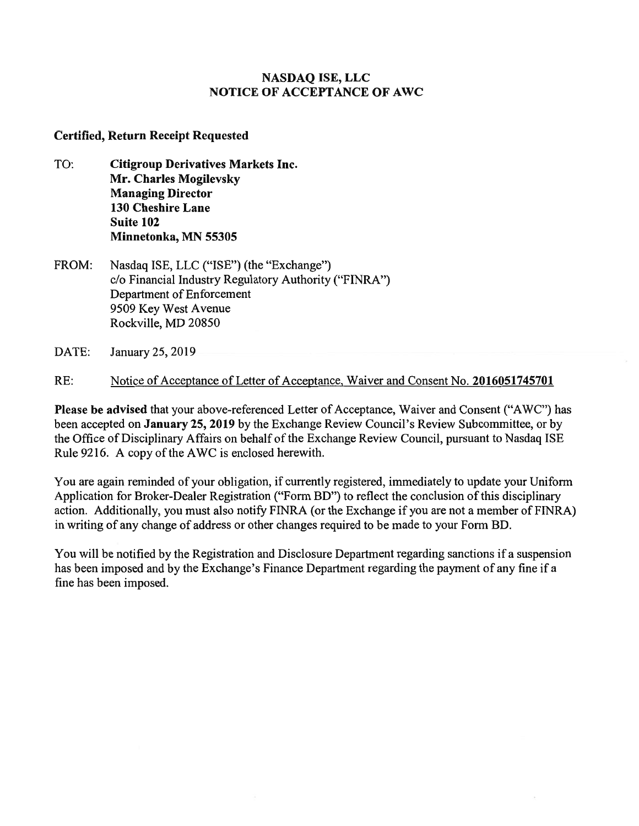# **NASDAQ ISE, LLC NOTICE OF ACCEPTANCE OF AWC**

# **Certified, Return Receipt Requested**

- TO: **Citigroup Derivatives Markets Inc. Mr. Charles Mogilevsky Managing Director 130 Cheshire Lane Suite 102 Minnetonka, MN 55305**
- FROM: Nasdaq ISE, LLC ("ISE") (the "Exchange") c/o Financial Industry Regulatory Authority ("FINRA") Department of Enforcement 9509 Key West Avenue Rockville, MD 20850
- DATE: January 25, 2019

RE: Notice of Acceptance of Letter of Acceptance, Waiver and Consent No. **2016051745701** 

**Please be advised** that your above-referenced Letter of Acceptance, Waiver and Consent ("AWC") has been accepted on **January 25, 2019** by the Exchange Review Council's Review Subcommittee, or by the Office of Disciplinary Affairs on behalf of the Exchange Review Council, pursuant to Nasdaq ISE Rule 9216. A copy of the AWC is enclosed herewith.

You are again reminded of your obligation, if currently registered, immediately to update your Uniform Application for Broker-Dealer Registration ("Form BD") to reflect the conclusion of this disciplinary action. Additionally, you must also notify FINRA (or the Exchange if you are not a member of FINRA) in writing of any change of address or other changes required to be made to your Form BD.

You will be notified by the Registration and Disclosure Department regarding sanctions if a suspension has been imposed and by the Exchange's Finance Department regarding the payment of any fine if a fine has been imposed.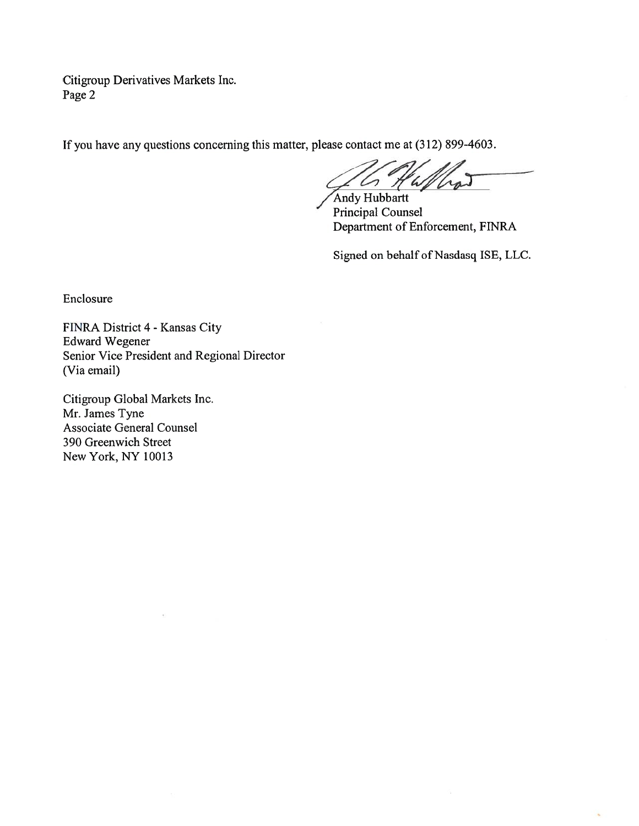Citigroup Derivatives Markets Inc. Page 2

If you have any questions concerning this matter, please contact me at (312) 899-4603.

Andy Hubbartt Principal Counsel Department of Enforcement, FINRA

Signed on behalf of Nasdasq ISE, LLC.

Enclosure

FINRA District 4 - Kansas City Edward Wegener Senior Vice President and Regional Director (Via email)

Citigroup Global Markets Inc. Mr. James Tyne Associate General Counsel 390 Greenwich Street New York, NY 10013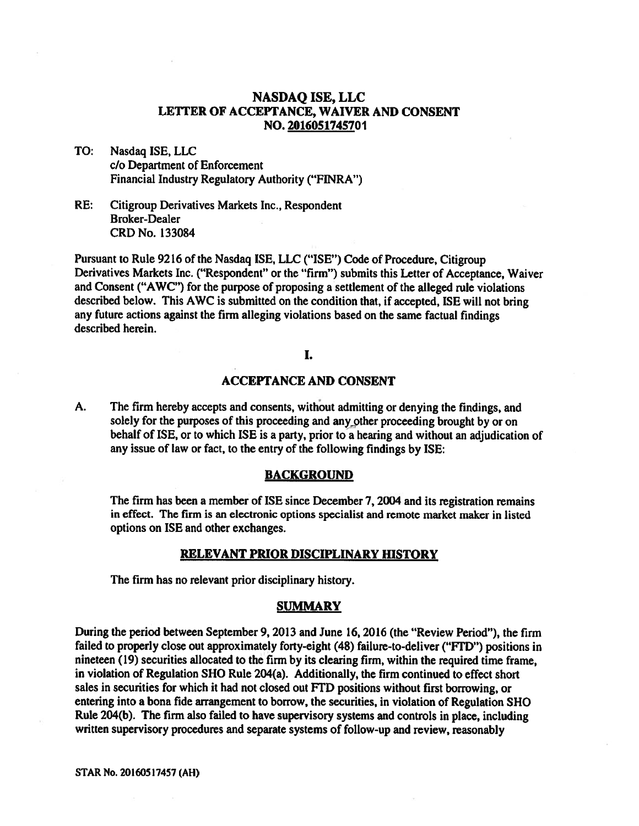## **NASDAQ ISE, LLC LETTER OF ACCEPTANCE, WAIVER AND CONSENT NO. 2016051745701**

TO: Nasdaq ISE, LLC c/o Department of Enforcement Financial Industry Regulatory Authority ("FINRA")

RE: Citigroup Derivatives Markets Inc., Respondent Broker-Dealer CRD No. 133084

Pursuant to Rule 9216 of the Nasdaq ISE, LLC ("ISE") Code of Procedure, Citigroup Derivatives Markets Inc. ("Respondent" or the "firm") submits this Letter of Acceptance, Waiver and Consent ("AWC") for the purpose of proposing a settlement of the alleged rule violations described below. This AWC is submitted on the condition that, if accepted, ISE will not bring any future actions against the firm alleging violations based on the same factual findings described herein.

### I.

### **ACCEPTANCE AND CONSENT**

**A.** The firm hereby accepts and consents, without admitting or denying the findings, and solely for the purposes of this proceeding and any other proceeding brought by or on behalf of ISE, or to which ISE is a party, prior to a hearing and without an adjudication of any issue of law or fact, to the entry of the following findings by ISE:

#### **BACKGROUND**

The firm has been a member of ISE since December 7, 2004 and its registration remains in effect. The firm is an electronic options specialist and remote market maker in listed options on ISE and other exchanges.

#### **RELEVANT PRIOR DISCIPLINARY HISTORY**

The firm has no relevant prior disciplinary history.

#### **SUMMARY**

**During the period between September 9, 2013 and June 16, 2016 (the "Review Period"), the firm failed to properly close out approximately forty-eight (48) failure-to-deliver ("FTD") positions in nineteen (19) securities allocated to the firm by its clearing firm, within the required time frame, in violation of Regulation SHO Rule 204(a). Additionally, the firm continued to effect short sales in securities for which it had not closed out FTD positions without first borrowing, or entering into a bona fide arrangement to borrow, the securities, in violation of Regulation SHO Rule 204(b). The firm also failed to have supervisory systems and controls in place, including written supervisory procedures and separate systems of follow-up and review, reasonably**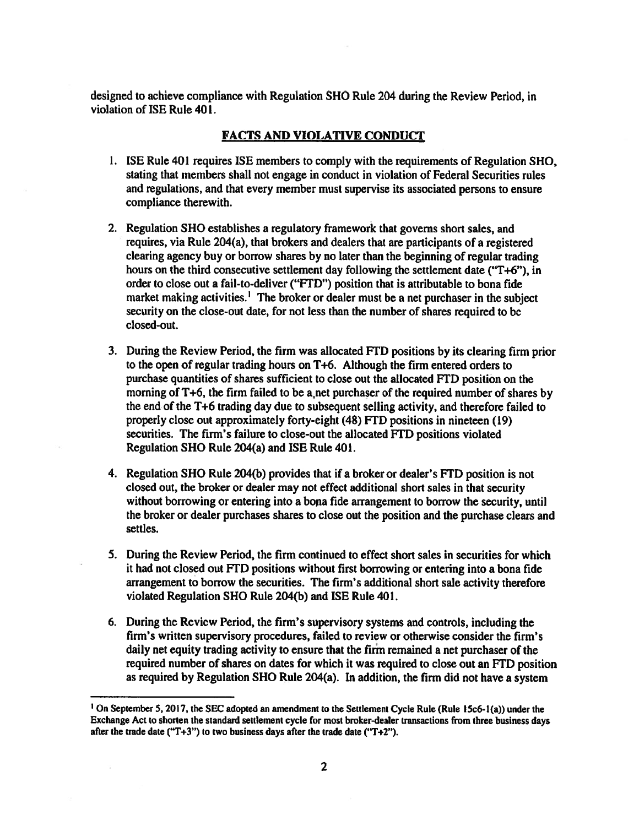**designed to achieve compliance with Regulation SHO Rule 204 during the Review Period, in violation of ISE Rule 401.** 

## **FACTS AND VIOLATIVE CONDUCT**

- **1. ISE Rule 401 requires ISE members to comply with the requirements of Regulation SHO, stating that members shall not engage in conduct in violation of Federal Securities rules and regulations, and that every member must supervise its associated persons to ensure compliance therewith.**
- **2. Regulation SHO establishes a regulatory framework that governs short sales, and requires, via Rule 204(a), that brokers and dealers that are participants of a registered clearing agency buy or borrow shares by no later than the beginning of regular trading hours on the third consecutive settlement day following the settlement date ("T+6"), in order to close out a fail-to-deliver ("FTD") position that is attributable to bona fide market making activities.' The broker or dealer must be a net purchaser in the subject security on the close-out date, for not less than the number of shares required to be closed-out.**
- **3. During the Review Period, the firm was allocated FTD positions by its clearing firm prior to the open of regular trading hours on T+6. Although the firm entered orders to purchase quantities of shares sufficient to close out the allocated FTD position on the**  morning of T+6, the firm failed to be a net purchaser of the required number of shares by **the end of the T+6 trading day due to subsequent selling activity, and therefore failed to properly close out approximately forty-eight (48) FTD positions in nineteen (19) securities. The firm's failure to close-out the allocated FTD positions violated Regulation SHO Rule 204(a) and ISE Rule 401.**
- **4. Regulation SHO Rule 204(b) provides that if a broker or dealer's FTD position is not closed out, the broker or dealer may not effect additional short sales in that security without borrowing or entering into a bona fide arrangement to borrow the security, until the broker or dealer purchases shares to close out the position and the purchase clears and settles.**
- **5. During the Review Period, the firm continued to effect short sales in securities for which**  it had not closed out FTD positions without first borrowing or entering into a bona fide **arrangement to borrow the securities. The firm's additional short sale activity therefore violated Regulation SHO Rule 204(b) and ISE Rule 401.**
- **6. During the Review Period, the firm's supervisory systems and controls, including the firm's written supervisory procedures, failed to review or otherwise consider the firm's daily net equity trading activity to ensure that the firm remained a net purchaser of the required number of shares on dates for which it was required to close out an FTD position as required by Regulation SHO Rule 204(a). In addition, the firm did not have a system**

**On September 5, 2017, the SEC adopted an amendment to the Settlement Cycle Rule (Rule 15c6-1(a)) under the Exchange Act to shorten the standard settlement cycle for most broker-dealer transactions from three business days after the trade date ("T+3") to two business days after the trade date ("T+2").**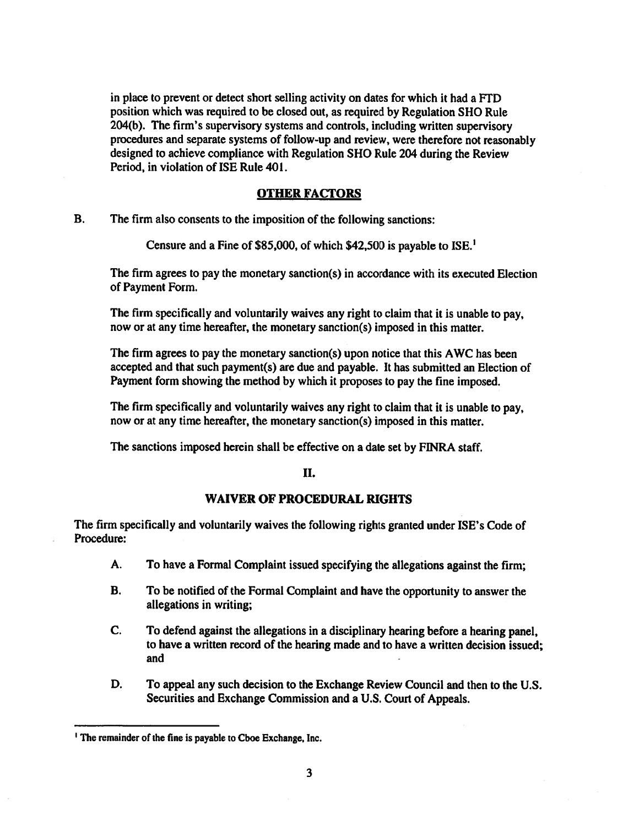in place to prevent or detect short selling activity on dates for which it had a FTD **position which was required to be closed out, as required by Regulation SHO Rule 204(b). The firm's supervisory systems and controls, including written supervisory procedures and separate systems of follow-up and review, were therefore not reasonably designed to achieve compliance with Regulation SHO Rule 204 during the Review Period, in violation of ISE Rule 401.** 

## **OTHER FACTORS**

**B. The firm also consents to the imposition of the following sanctions:** 

**Censure and a Fine of \$85,000, of which \$42,500 is payable to ISE.'** 

**The firm agrees to pay the monetary sanction(s) in accordance with its executed Election of Payment Form.** 

**The firm specifically and voluntarily waives any right to claim that it is unable to pay, now or at any time hereafter, the monetary sanction(s) imposed in this matter.** 

**The firm agrees to pay the monetary sanction(s) upon notice that this AWC has been accepted and that such payment(s) are due and payable. It has submitted an Election of Payment form showing the method by which it proposes to pay the fine imposed.** 

**The firm specifically and voluntarily waives any right to claim that it is unable to pay, now or at any time hereafter, the monetary sanction(s) imposed in this matter.** 

**The sanctions imposed herein shall be effective on a date set by FINRA staff.** 

### **II.**

## **WAIVER OF PROCEDURAL RIGHTS**

**The firm specifically and voluntarily waives the following rights granted under ISE's Code of Procedure:** 

- **A. To have a Formal Complaint issued specifying the allegations against the firm;**
- **B. To be notified of the Formal Complaint and have the opportunity to answer the allegations in writing;**
- **C. To defend against the allegations in a disciplinary hearing before a hearing panel, to have a written record of the hearing made and to have a written decision issued; and**
- **D. To appeal any such decision to the Exchange Review Council and then to the U.S. Securities and Exchange Commission and a U.S. Court of Appeals.**

**I The remainder of the fine is payable to Cboe Exchange, Inc.**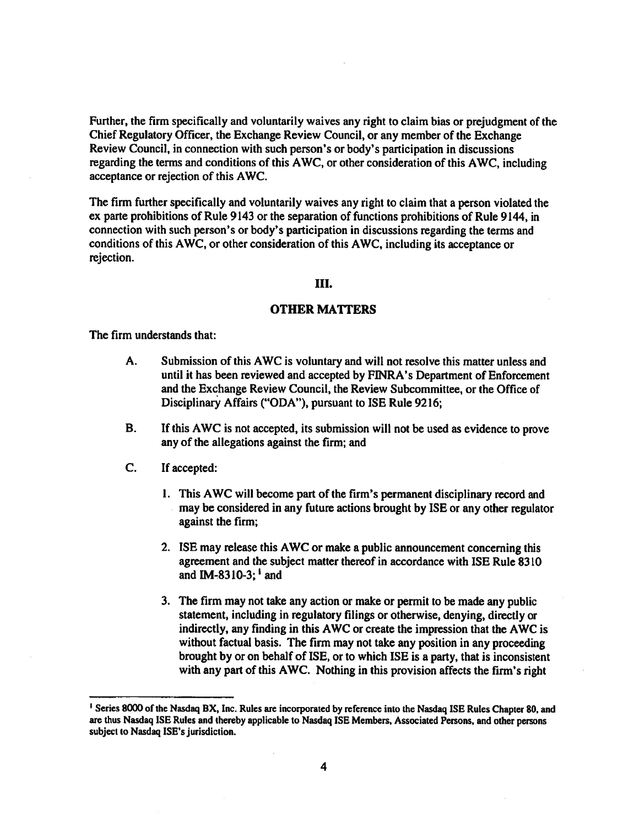**Further, the firm specifically and voluntarily waives any right to claim bias or prejudgment of the Chief Regulatory Officer, the Exchange Review Council, or any member of the Exchange Review Council, in connection with such person's or body's participation in discussions regarding the terms and conditions of this AWC, or other consideration of this AWC, including acceptance or rejection of this AWC.** 

**The firm further specifically and voluntarily waives any right to claim that a person violated the ex parte prohibitions of Rule 9143 or the separation of functions prohibitions of Rule 9144, in connection with such person's or body's participation in discussions regarding the terms and conditions of this AWC, or other consideration of this AWC, including its acceptance or rejection.** 

### **HI.**

## **OTHER MATTERS**

**The firm understands that:** 

- **A. Submission of this AWC is voluntary and will not resolve this matter unless and until it has been reviewed and accepted by FINRA's Department of Enforcement and the Exchange Review Council, the Review Subcommittee, or the Office of Disciplinary Affairs ("ODA"), pursuant to ISE Rule 9216;**
- **B. If this AWC is not accepted, its submission will not be used as evidence to prove any of the allegations against the firm; and**
- **C. If accepted:** 
	- **1. This AWC will become part of the firm's permanent disciplinary record and may be considered in any future actions brought by ISE or any other regulator against the firm;**
	- **2. ISE may release this AWC or make a public announcement concerning this agreement and the subject matter thereof in accordance with ISE Rule 8310 and IM-8310-3; 1 and**
	- **3. The firm may not take any action or make or permit to be made any public statement, including in regulatory filings or otherwise, denying, directly or indirectly, any finding in this AWC or create the impression that the AWC is without factual basis. The firm may not take any position in any proceeding brought by or on behalf of ISE, or to which ISE is a party, that is inconsistent with any part of this AWC. Nothing in this provision affects the firm's right**

**I Series 8000 of the Nasdaq BX, Inc. Rules are incorporated by reference into the Nasdaq ISE Rules Chapter 80, and are thus Nasdaq ISE Rules and thereby applicable to Nasdaq ISE Members, Associated Persons, and other persons subject to Nasdaq ISE's jurisdiction.**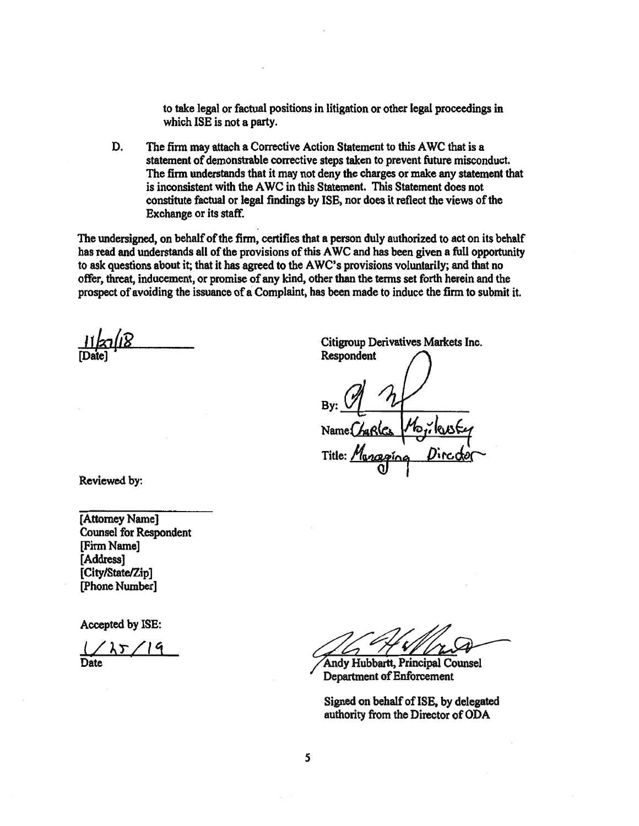**to take legal or factual positions in litigation or other legal proceedings in which ISE is not a party.** 

**D. The firm may attach a Corrective Action Statement to this AWC that is a statement of demonstrable corrective steps taken to prevent future misconduct. The firm understands that it may not deny the charges or make any statement that is inconsistent with the AWC in this Statement. This Statement does not constitute factual or legal findings by ISE, nor does it reflect the views of the Exchange or its staff.** 

**The undersigned, on behalf of the firm, certifies that a person duly authorized to act on its behalf has read and understands all of the provisions of this AWC and has been given a full opportunity to ask questions about it; that it has agreed to the AWC's provisions voluntarily; and that no offer, threat, inducement, or promise of any kind, other than the terms set forth herein and the prospect of avoiding the issuance of a Complaint, has been made to induce the firm to submit it.** 

**[Date]** 

**Citigroup Derivatives Markets Inc. Respondent**  Maraging Title:

**Reviewed by:** 

**[Attorney Name] Counsel for Respondent [Firm Name] [Address] [City/State/Zip] [Phone Number]** 

**Accepted by ISE:** 

 $1/25/19$ 

**Andy Hubbartt, Principal Counsel Department of Enforcement** 

**Signed on behalf of ISE, by delegated authority from the Director of ODA**